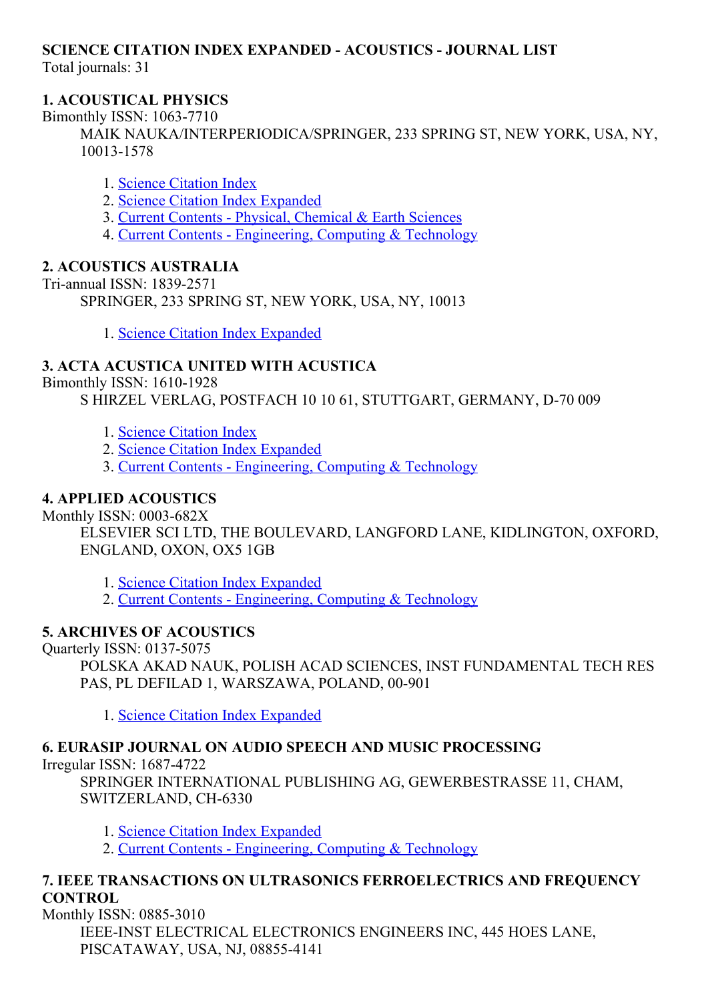# SCIENCE CITATION INDEX EXPANDED ACOUSTICS JOURNAL LIST

Total journals: 31

## 1. ACOUSTICAL PHYSICS

Bimonthly ISSN: 1063-7710

MAIK NAUKA/INTERPERIODICA/SPRINGER, 233 SPRING ST, NEW YORK, USA, NY, 10013-1578

- 1. Science [Citation](http://thomsonreuters.com/science-citation-index-expanded) Index
- 2. Science Citation Index [Expanded](http://thomsonreuters.com/science-citation-index-expanded)
- 3. Current Contents Physical, [Chemical](http://thomsonreuters.com/current-contents-connect) & Earth Sciences
- 4. Current Contents [Engineering,](http://thomsonreuters.com/current-contents-connect) Computing & Technology

## 2. ACOUSTICS AUSTRALIA

Tri-annual ISSN: 1839-2571 SPRINGER, 233 SPRING ST, NEW YORK, USA, NY, 10013

1. Science Citation Index [Expanded](http://thomsonreuters.com/science-citation-index-expanded)

# 3. ACTA ACUSTICA UNITED WITH ACUSTICA

Bimonthly ISSN: 1610-1928

S HIRZEL VERLAG, POSTFACH 10 10 61, STUTTGART, GERMANY, D-70 009

- 1. Science [Citation](http://thomsonreuters.com/science-citation-index-expanded) Index
- 2. Science Citation Index [Expanded](http://thomsonreuters.com/science-citation-index-expanded)
- 3. Current Contents [Engineering,](http://thomsonreuters.com/current-contents-connect) Computing & Technology

## 4. APPLIED ACOUSTICS

Monthly ISSN: 0003-682X

ELSEVIER SCI LTD, THE BOULEVARD, LANGFORD LANE, KIDLINGTON, OXFORD, ENGLAND, OXON, OX5 1GB

1. Science Citation Index [Expanded](http://thomsonreuters.com/science-citation-index-expanded)

2. Current Contents - [Engineering,](http://thomsonreuters.com/current-contents-connect) Computing & Technology

## 5. ARCHIVES OF ACOUSTICS

Quarterly ISSN: 0137-5075

POLSKA AKAD NAUK, POLISH ACAD SCIENCES, INST FUNDAMENTAL TECH RES PAS, PL DEFILAD 1, WARSZAWA, POLAND, 00-901

1. Science Citation Index [Expanded](http://thomsonreuters.com/science-citation-index-expanded)

# 6. EURASIP JOURNAL ON AUDIO SPEECH AND MUSIC PROCESSING

Irregular ISSN: 16874722

SPRINGER INTERNATIONAL PUBLISHING AG, GEWERBESTRASSE 11, CHAM, SWITZERLAND, CH-6330

1. Science Citation Index [Expanded](http://thomsonreuters.com/science-citation-index-expanded)

2. Current Contents - [Engineering,](http://thomsonreuters.com/current-contents-connect) Computing & Technology

# 7. IEEE TRANSACTIONS ON ULTRASONICS FERROELECTRICS AND FREQUENCY **CONTROL**

Monthly ISSN: 0885-3010 IEEE-INST ELECTRICAL ELECTRONICS ENGINEERS INC, 445 HOES LANE, PISCATAWAY, USA, NJ, 088554141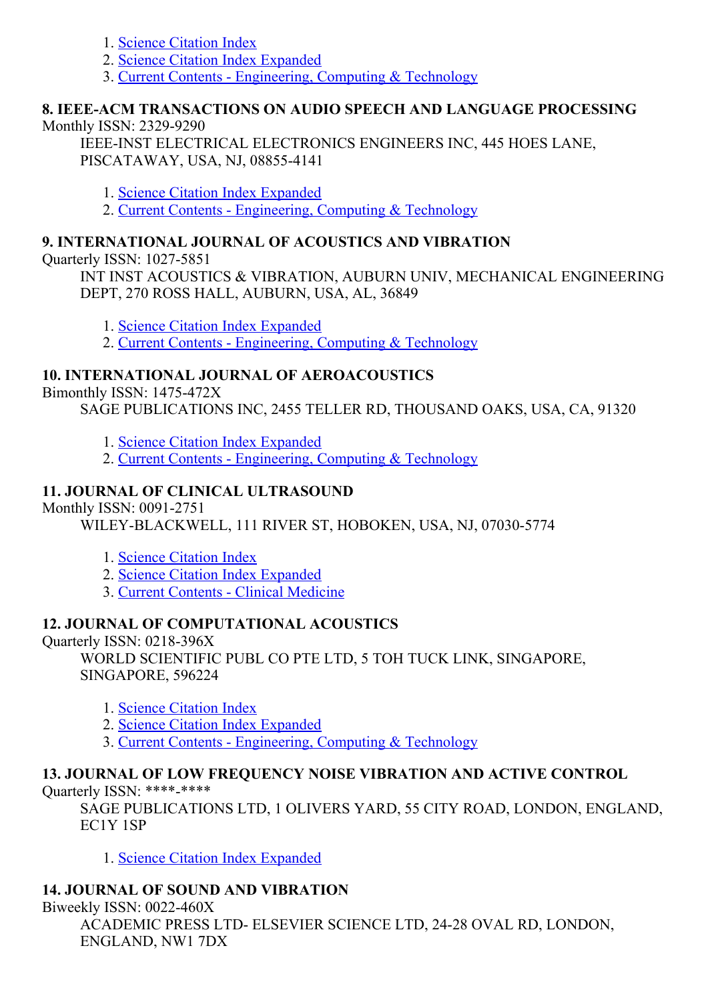- 1. Science [Citation](http://thomsonreuters.com/science-citation-index-expanded) Index
- 2. Science Citation Index [Expanded](http://thomsonreuters.com/science-citation-index-expanded)
- 3. Current Contents [Engineering,](http://thomsonreuters.com/current-contents-connect) Computing & Technology

# 8. IEEEACM TRANSACTIONS ON AUDIO SPEECH AND LANGUAGE PROCESSING

#### Monthly ISSN: 2329-9290

IEEE-INST ELECTRICAL ELECTRONICS ENGINEERS INC, 445 HOES LANE, PISCATAWAY, USA, NJ, 088554141

- 1. Science Citation Index [Expanded](http://thomsonreuters.com/science-citation-index-expanded)
- 2. Current Contents [Engineering,](http://thomsonreuters.com/current-contents-connect) Computing & Technology

#### 9. INTERNATIONAL JOURNAL OF ACOUSTICS AND VIBRATION

Ouarterly ISSN: 1027-5851

INT INST ACOUSTICS & VIBRATION, AUBURN UNIV, MECHANICAL ENGINEERING DEPT, 270 ROSS HALL, AUBURN, USA, AL, 36849

- 1. Science Citation Index [Expanded](http://thomsonreuters.com/science-citation-index-expanded)
- 2. Current Contents [Engineering,](http://thomsonreuters.com/current-contents-connect) Computing & Technology

## 10. INTERNATIONAL JOURNAL OF AEROACOUSTICS

Bimonthly ISSN: 1475-472X

SAGE PUBLICATIONS INC, 2455 TELLER RD, THOUSAND OAKS, USA, CA, 91320

- 1. Science Citation Index [Expanded](http://thomsonreuters.com/science-citation-index-expanded)
- 2. Current Contents [Engineering,](http://thomsonreuters.com/current-contents-connect) Computing & Technology

## 11. JOURNAL OF CLINICAL ULTRASOUND

Monthly ISSN: 0091-2751

WILEY-BLACKWELL, 111 RIVER ST, HOBOKEN, USA, NJ, 07030-5774

- 1. Science [Citation](http://thomsonreuters.com/science-citation-index-expanded) Index
- 2. Science Citation Index [Expanded](http://thomsonreuters.com/science-citation-index-expanded)
- 3. Current Contents Clinical [Medicine](http://thomsonreuters.com/current-contents-connect)

## 12. JOURNAL OF COMPUTATIONAL ACOUSTICS

Ouarterly ISSN: 0218-396X

WORLD SCIENTIFIC PUBL CO PTE LTD, 5 TOH TUCK LINK, SINGAPORE, SINGAPORE, 596224

- 1. Science [Citation](http://thomsonreuters.com/science-citation-index-expanded) Index
- 2. Science Citation Index [Expanded](http://thomsonreuters.com/science-citation-index-expanded)
- 3. Current Contents [Engineering,](http://thomsonreuters.com/current-contents-connect) Computing & Technology

# 13. JOURNAL OF LOW FREQUENCY NOISE VIBRATION AND ACTIVE CONTROL

Quarterly ISSN: \*\*\*\*-\*\*\*\*\*

SAGE PUBLICATIONS LTD, 1 OLIVERS YARD, 55 CITY ROAD, LONDON, ENGLAND, EC1Y 1SP

1. Science Citation Index [Expanded](http://thomsonreuters.com/science-citation-index-expanded)

#### 14. JOURNAL OF SOUND AND VIBRATION

Biweekly ISSN: 0022-460X ACADEMIC PRESS LTD- ELSEVIER SCIENCE LTD, 24-28 OVAL RD, LONDON, ENGLAND, NW1 7DX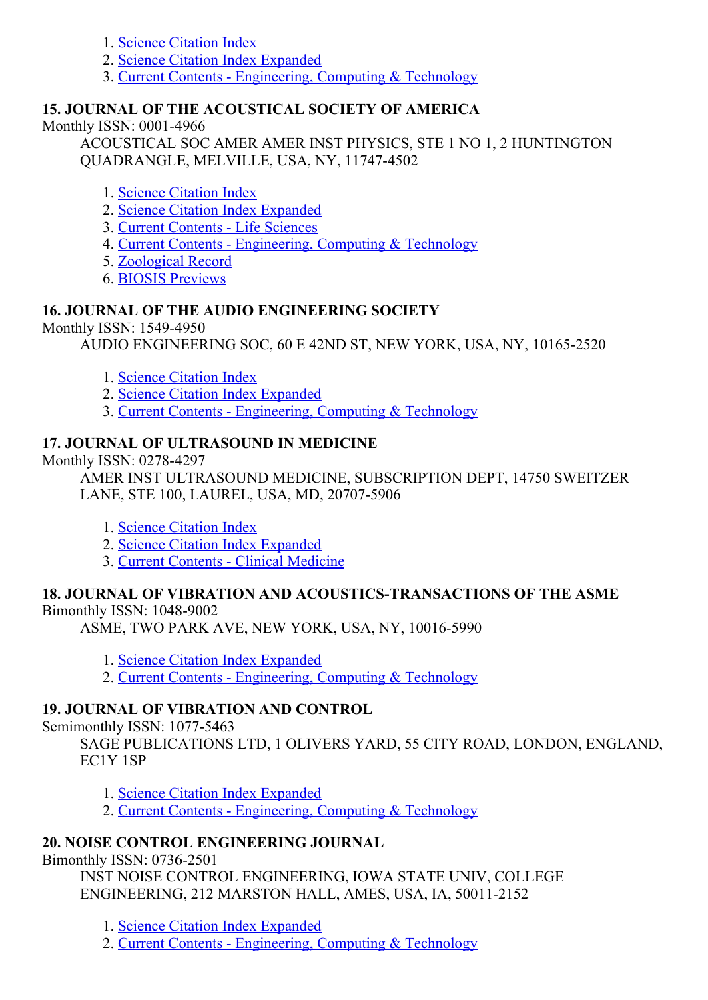- 1. Science [Citation](http://thomsonreuters.com/science-citation-index-expanded) Index
- 2. Science Citation Index [Expanded](http://thomsonreuters.com/science-citation-index-expanded)
- 3. Current Contents [Engineering,](http://thomsonreuters.com/current-contents-connect) Computing & Technology

#### 15. JOURNAL OF THE ACOUSTICAL SOCIETY OF AMERICA

Monthly ISSN: 0001-4966

ACOUSTICAL SOC AMER AMER INST PHYSICS, STE 1 NO 1, 2 HUNTINGTON QUADRANGLE, MELVILLE, USA, NY, 11747-4502

#### 1. Science [Citation](http://thomsonreuters.com/science-citation-index-expanded) Index

- 2. Science Citation Index [Expanded](http://thomsonreuters.com/science-citation-index-expanded)
- 3. Current [Contents](http://thomsonreuters.com/current-contents-connect) Life Sciences
- 4. Current Contents [Engineering,](http://thomsonreuters.com/current-contents-connect) Computing & Technology
- 5. [Zoological](http://thomsonreuters.com/zoological-record) Record
- 6. BIOSIS [Previews](http://thomsonreuters.com/biosis-previews)

## 16. JOURNAL OF THE AUDIO ENGINEERING SOCIETY

Monthly ISSN: 1549-4950

AUDIO ENGINEERING SOC, 60 E 42ND ST, NEW YORK, USA, NY, 10165-2520

- 1. Science [Citation](http://thomsonreuters.com/science-citation-index-expanded) Index
- 2. Science Citation Index [Expanded](http://thomsonreuters.com/science-citation-index-expanded)
- 3. Current Contents [Engineering,](http://thomsonreuters.com/current-contents-connect) Computing & Technology

#### 17. JOURNAL OF ULTRASOUND IN MEDICINE

Monthly ISSN: 0278-4297

AMER INST ULTRASOUND MEDICINE, SUBSCRIPTION DEPT, 14750 SWEITZER LANE, STE 100, LAUREL, USA, MD, 20707-5906

- 1. Science [Citation](http://thomsonreuters.com/science-citation-index-expanded) Index
- 2. Science Citation Index [Expanded](http://thomsonreuters.com/science-citation-index-expanded)
- 3. Current Contents Clinical [Medicine](http://thomsonreuters.com/current-contents-connect)

#### 18. JOURNAL OF VIBRATION AND ACOUSTICSTRANSACTIONS OF THE ASME

Bimonthly ISSN: 1048-9002

ASME, TWO PARK AVE, NEW YORK, USA, NY, 10016-5990

- 1. Science Citation Index [Expanded](http://thomsonreuters.com/science-citation-index-expanded)
- 2. Current Contents [Engineering,](http://thomsonreuters.com/current-contents-connect) Computing & Technology

#### 19. JOURNAL OF VIBRATION AND CONTROL

Semimonthly ISSN: 1077-5463

SAGE PUBLICATIONS LTD, 1 OLIVERS YARD, 55 CITY ROAD, LONDON, ENGLAND, EC1Y 1SP

- 1. Science Citation Index [Expanded](http://thomsonreuters.com/science-citation-index-expanded)
- 2. Current Contents [Engineering,](http://thomsonreuters.com/current-contents-connect) Computing & Technology

#### 20. NOISE CONTROL ENGINEERING JOURNAL

Bimonthly ISSN: 0736-2501

INST NOISE CONTROL ENGINEERING, IOWA STATE UNIV, COLLEGE ENGINEERING, 212 MARSTON HALL, AMES, USA, IA, 50011-2152

1. Science Citation Index [Expanded](http://thomsonreuters.com/science-citation-index-expanded)

2. Current Contents - [Engineering,](http://thomsonreuters.com/current-contents-connect) Computing & Technology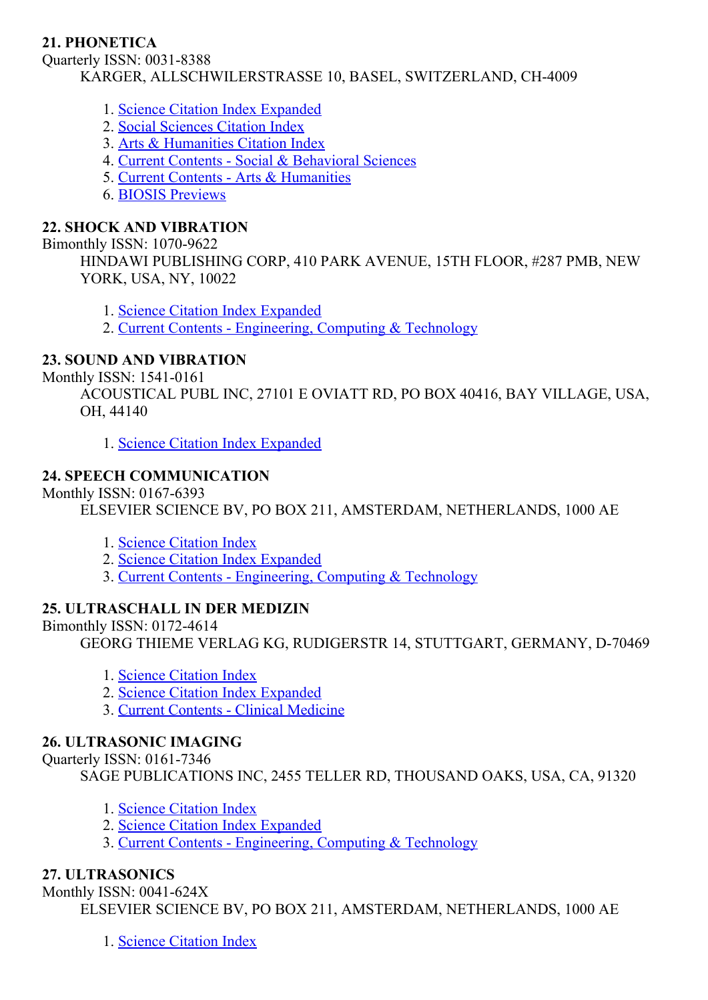## 21. PHONETICA

Quarterly ISSN: 0031-8388 KARGER, ALLSCHWILERSTRASSE 10, BASEL, SWITZERLAND, CH-4009

- 1. Science Citation Index [Expanded](http://thomsonreuters.com/science-citation-index-expanded)
- 2. Social [Sciences](http://thomsonreuters.com/social-sciences-citation-index) Citation Index
- 3. Arts & [Humanities](http://thomsonreuters.com/arts-humanities-citation-index) Citation Index
- 4. Current Contents Social & [Behavioral](http://thomsonreuters.com/current-contents-connect/) Sciences
- 5. Current Contents Arts & [Humanities](http://thomsonreuters.com/current-contents-connect)
- 6. BIOSIS [Previews](http://thomsonreuters.com/biosis-previews)

#### 22. SHOCK AND VIBRATION

#### Bimonthly ISSN: 1070-9622

HINDAWI PUBLISHING CORP, 410 PARK AVENUE, 15TH FLOOR, #287 PMB, NEW YORK, USA, NY, 10022

1. Science Citation Index [Expanded](http://thomsonreuters.com/science-citation-index-expanded)

2. Current Contents - [Engineering,](http://thomsonreuters.com/current-contents-connect) Computing & Technology

## 23. SOUND AND VIBRATION

Monthly ISSN: 1541-0161

ACOUSTICAL PUBL INC, 27101 E OVIATT RD, PO BOX 40416, BAY VILLAGE, USA, OH, 44140

1. Science Citation Index [Expanded](http://thomsonreuters.com/science-citation-index-expanded)

## 24. SPEECH COMMUNICATION

Monthly ISSN: 0167-6393

ELSEVIER SCIENCE BV, PO BOX 211, AMSTERDAM, NETHERLANDS, 1000 AE

- 1. Science [Citation](http://thomsonreuters.com/science-citation-index-expanded) Index
- 2. Science Citation Index [Expanded](http://thomsonreuters.com/science-citation-index-expanded)
- 3. Current Contents [Engineering,](http://thomsonreuters.com/current-contents-connect) Computing & Technology

## 25. ULTRASCHALL IN DER MEDIZIN

#### Bimonthly ISSN: 0172-4614

GEORG THIEME VERLAG KG, RUDIGERSTR 14, STUTTGART, GERMANY, D-70469

- 1. Science [Citation](http://thomsonreuters.com/science-citation-index-expanded) Index
- 2. Science Citation Index [Expanded](http://thomsonreuters.com/science-citation-index-expanded)
- 3. Current Contents Clinical [Medicine](http://thomsonreuters.com/current-contents-connect)

#### 26. ULTRASONIC IMAGING

Ouarterly ISSN: 0161-7346

SAGE PUBLICATIONS INC, 2455 TELLER RD, THOUSAND OAKS, USA, CA, 91320

- 1. Science [Citation](http://thomsonreuters.com/science-citation-index-expanded) Index
- 2. Science Citation Index [Expanded](http://thomsonreuters.com/science-citation-index-expanded)
- 3. Current Contents [Engineering,](http://thomsonreuters.com/current-contents-connect) Computing & Technology

## 27. ULTRASONICS

Monthly ISSN: 0041-624X

ELSEVIER SCIENCE BV, PO BOX 211, AMSTERDAM, NETHERLANDS, 1000 AE

1. Science [Citation](http://thomsonreuters.com/science-citation-index-expanded) Index